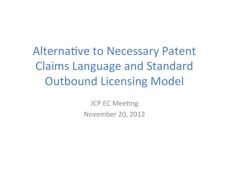Alternative to Necessary Patent Claims Language and Standard Outbound Licensing Model

> **JCP EC Meeting** November 20, 2012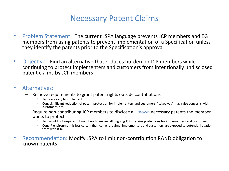## Necessary Patent Claims

- Problem Statement: The current JSPA language prevents JCP members and EG members from using patents to prevent implementation of a Specification unless they identfy the patents prior to the Specifcaton's approval
- Objective: Find an alternative that reduces burden on JCP members while continuing to protect implementers and customers from intentionally undisclosed patent claims by JCP members

### • Alternatives:

- Remove requirements to grant patent rights outside contributons
	- Pro: very easy to implement
	- Con: significant reduction of patent protection for implementers and customers, "takeaway" may raise concerns with customers, etc.
- Require non-contributng JCP members to disclose all known necessary patents the member wants to protect
	- Pro: would not require JCP members to review all ongoing JSRs, retains protections for implementers and customers
	- Con: IP environment is less certain than current regime, implementers and customers are exposed to potental litgaton from within JCP
- Recommendation: Modify JSPA to limit non-contribution RAND obligation to known patents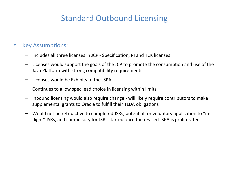# Standard Outbound Licensing

### • Key Assumptions:

- Includes all three licenses in JCP Specifcaton, RI and TCK licenses
- $-$  Licenses would support the goals of the JCP to promote the consumption and use of the Java Platform with strong compatbility requirements
- Licenses would be Exhibits to the JSPA
- Contnues to allow spec lead choice in licensing within limits
- Inbound licensing would also require change will likely require contributors to make supplemental grants to Oracle to fulfll their TLDA obligatons
- $-$  Would not be retroactive to completed JSRs, potential for voluntary application to "inflight" JSRs, and compulsory for JSRs started once the revised JSPA is proliferated